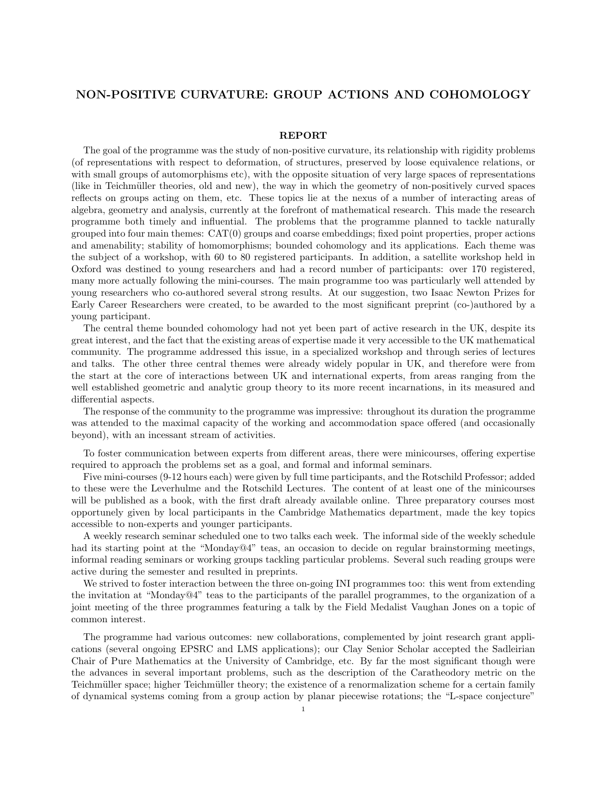## NON-POSITIVE CURVATURE: GROUP ACTIONS AND COHOMOLOGY

## REPORT

The goal of the programme was the study of non-positive curvature, its relationship with rigidity problems (of representations with respect to deformation, of structures, preserved by loose equivalence relations, or with small groups of automorphisms etc), with the opposite situation of very large spaces of representations (like in Teichmüller theories, old and new), the way in which the geometry of non-positively curved spaces reflects on groups acting on them, etc. These topics lie at the nexus of a number of interacting areas of algebra, geometry and analysis, currently at the forefront of mathematical research. This made the research programme both timely and influential. The problems that the programme planned to tackle naturally grouped into four main themes:  $CAT(0)$  groups and coarse embeddings; fixed point properties, proper actions and amenability; stability of homomorphisms; bounded cohomology and its applications. Each theme was the subject of a workshop, with 60 to 80 registered participants. In addition, a satellite workshop held in Oxford was destined to young researchers and had a record number of participants: over 170 registered, many more actually following the mini-courses. The main programme too was particularly well attended by young researchers who co-authored several strong results. At our suggestion, two Isaac Newton Prizes for Early Career Researchers were created, to be awarded to the most significant preprint (co-)authored by a young participant.

The central theme bounded cohomology had not yet been part of active research in the UK, despite its great interest, and the fact that the existing areas of expertise made it very accessible to the UK mathematical community. The programme addressed this issue, in a specialized workshop and through series of lectures and talks. The other three central themes were already widely popular in UK, and therefore were from the start at the core of interactions between UK and international experts, from areas ranging from the well established geometric and analytic group theory to its more recent incarnations, in its measured and differential aspects.

The response of the community to the programme was impressive: throughout its duration the programme was attended to the maximal capacity of the working and accommodation space offered (and occasionally beyond), with an incessant stream of activities.

To foster communication between experts from different areas, there were minicourses, offering expertise required to approach the problems set as a goal, and formal and informal seminars.

Five mini-courses (9-12 hours each) were given by full time participants, and the Rotschild Professor; added to these were the Leverhulme and the Rotschild Lectures. The content of at least one of the minicourses will be published as a book, with the first draft already available online. Three preparatory courses most opportunely given by local participants in the Cambridge Mathematics department, made the key topics accessible to non-experts and younger participants.

A weekly research seminar scheduled one to two talks each week. The informal side of the weekly schedule had its starting point at the "Monday@4" teas, an occasion to decide on regular brainstorming meetings, informal reading seminars or working groups tackling particular problems. Several such reading groups were active during the semester and resulted in preprints.

We strived to foster interaction between the three on-going INI programmes too: this went from extending the invitation at "Monday@4" teas to the participants of the parallel programmes, to the organization of a joint meeting of the three programmes featuring a talk by the Field Medalist Vaughan Jones on a topic of common interest.

The programme had various outcomes: new collaborations, complemented by joint research grant applications (several ongoing EPSRC and LMS applications); our Clay Senior Scholar accepted the Sadleirian Chair of Pure Mathematics at the University of Cambridge, etc. By far the most significant though were the advances in several important problems, such as the description of the Caratheodory metric on the Teichmüller space; higher Teichmüller theory; the existence of a renormalization scheme for a certain family of dynamical systems coming from a group action by planar piecewise rotations; the "L-space conjecture"